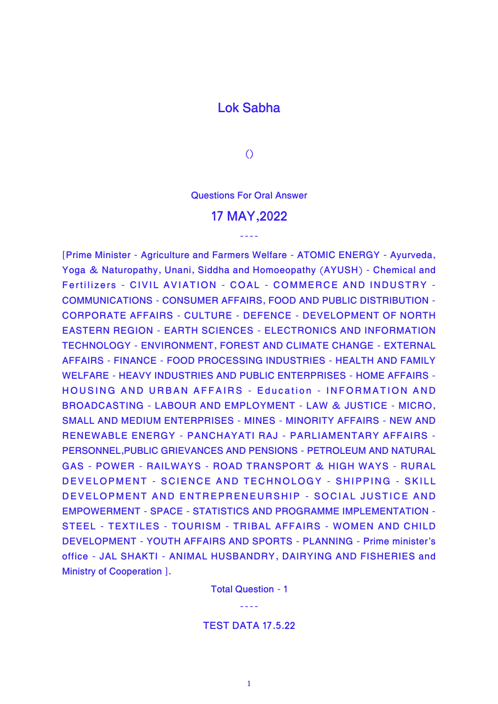## **Lok Sabha**

**()**

**Questions For Oral Answer**

## **17 MAY,2022**

----

**[Prime Minister - Agriculture and Farmers Welfare - ATOMIC ENERGY - Ayurveda, Yoga & Naturopathy, Unani, Siddha and Homoeopathy (AYUSH) - Chemical and Fertilizers - CIVIL AVIATION - COAL - COMMERCE AND INDUSTRY - COMMUNICATIONS - CONSUMER AFFAIRS, FOOD AND PUBLIC DISTRIBUTION - CORPORATE AFFAIRS - CULTURE - DEFENCE - DEVELOPMENT OF NORTH EASTERN REGION - EARTH SCIENCES - ELECTRONICS AND INFORMATION TECHNOLOGY - ENVIRONMENT, FOREST AND CLIMATE CHANGE - EXTERNAL AFFAIRS - FINANCE - FOOD PROCESSING INDUSTRIES - HEALTH AND FAMILY WELFARE - HEAVY INDUSTRIES AND PUBLIC ENTERPRISES - HOME AFFAIRS - HOUSING AND URBAN AFFAIRS - Education - INFORMATION AND BROADCASTING - LABOUR AND EMPLOYMENT - LAW & JUSTICE - MICRO, SMALL AND MEDIUM ENTERPRISES - MINES - MINORITY AFFAIRS - NEW AND RENEWABLE ENERGY - PANCHAYATI RAJ - PARLIAMENTARY AFFAIRS - PERSONNEL,PUBLIC GRIEVANCES AND PENSIONS - PETROLEUM AND NATURAL GAS - POWER - RAILWAYS - ROAD TRANSPORT & HIGH WAYS - RURAL DEVELOPMENT - SCIENCE AND TECHNOLOGY - SHIPPING - SKILL DEVELOPMENT AND ENTREPRENEURSHIP - SOCIAL JUSTICE AND EMPOWERMENT - SPACE - STATISTICS AND PROGRAMME IMPLEMENTATION - STEEL - TEXTILES - TOURISM - TRIBAL AFFAIRS - WOMEN AND CHILD DEVELOPMENT - YOUTH AFFAIRS AND SPORTS - PLANNING - Prime minister's office - JAL SHAKTI - ANIMAL HUSBANDRY, DAIRYING AND FISHERIES and Ministry of Cooperation ].**

> **Total Question - 1** ----

**TEST DATA 17.5.22**